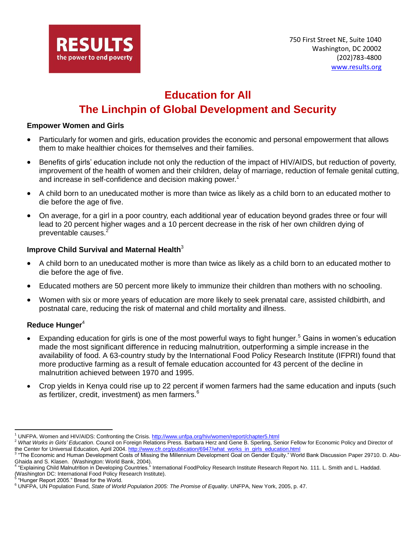

# **Education for All The Linchpin of Global Development and Security**

#### **Empower Women and Girls**

- Particularly for women and girls, education provides the economic and personal empowerment that allows them to make healthier choices for themselves and their families.
- Benefits of girls' education include not only the reduction of the impact of HIV/AIDS, but reduction of poverty, improvement of the health of women and their children, delay of marriage, reduction of female genital cutting, and increase in self-confidence and decision making power.<sup>1</sup>
- A child born to an uneducated mother is more than twice as likely as a child born to an educated mother to die before the age of five.
- On average, for a girl in a poor country, each additional year of education beyond grades three or four will lead to 20 percent higher wages and a 10 percent decrease in the risk of her own children dying of preventable causes.<sup>2</sup>

#### **Improve Child Survival and Maternal Health**<sup>3</sup>

- A child born to an uneducated mother is more than twice as likely as a child born to an educated mother to die before the age of five.
- Educated mothers are 50 percent more likely to immunize their children than mothers with no schooling.
- Women with six or more years of education are more likely to seek prenatal care, assisted childbirth, and postnatal care, reducing the risk of maternal and child mortality and illness.

#### **Reduce Hunger**<sup>4</sup>

- Expanding education for girls is one of the most powerful ways to fight hunger.<sup>5</sup> Gains in women's education made the most significant difference in reducing malnutrition, outperforming a simple increase in the availability of food. A 63-country study by the International Food Policy Research Institute (IFPRI) found that more productive farming as a result of female education accounted for 43 percent of the decline in malnutrition achieved between 1970 and 1995.
- Crop yields in Kenya could rise up to 22 percent if women farmers had the same education and inputs (such as fertilizer, credit, investment) as men farmers. $6$

 $\overline{a}$ <sup>1</sup> UNFPA. Women and HIV/AIDS: Confronting the Crisis[. http://www.unfpa.org/hiv/women/report/chapter5.html](http://www.unfpa.org/hiv/women/report/chapter5.html)

<sup>2</sup> *What Works in Girls' Education*. Council on Foreign Relations Press. Barbara Herz and Gene B. Sperling, Senior Fellow for Economic Policy and Director of the Center for Universal Education, April 2004. [http://www.cfr.org/publication/6947/what\\_works\\_in\\_girls\\_education.html](http://www.cfr.org/publication/6947/what_works_in_girls_education.html)

<sup>&</sup>lt;sup>3</sup> "The Economic and Human Development Costs of Missing the Millennium Development Goal on Gender Equity." World Bank Discussion Paper 29710. D. Abu-Ghaida and S. Klasen. (Washington: World Bank, 2004). 4

<sup>&</sup>quot;Explaining Child Malnutrition in Developing Countries." International FoodPolicy Research Institute Research Report No. 111. L. Smith and L. Haddad. (Washington DC: International Food Policy Research Institute).<br><sup>5</sup> "Uunger Report 2005." Pread for the World

<sup>&</sup>quot;Hunger Report 2005." Bread for the World.

<sup>6</sup> UNFPA, UN Population Fund, *State of World Population 2005: The Promise of Equality*. UNFPA, New York, 2005, p. 47.